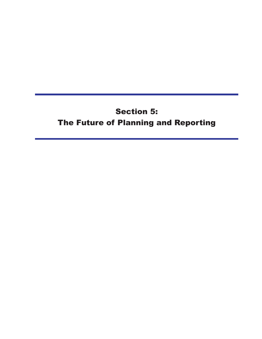# **Section 5:** The Future of Planning and Reporting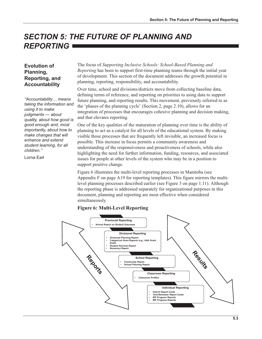## **SECTION 5: THE FUTURE OF PLANNING AND REPORTING**

#### **Evolution of** Planning, Reporting, and **Accountability**

"Accountability... means taking the information and using it to make judgments - about quality, about how good is good enough and, most importantly, about how to make changes that will enhance and extend student learning, for all children."

Lorna Farl

The focus of Supporting Inclusive Schools: School-Based Planning and Reporting has been to support first-time planning teams through the initial year of development. This section of the document addresses the growth potential in planning, reporting, responsibility, and accountability.

Over time, school and divisions/districts move from collecting baseline data, defining terms of reference, and reporting on priorities to using data to support future planning, and reporting results. This movement, previously referred to as the 'phases of the planning cycle' (Section 2, page 2.10), allows for an integration of processes that encourages cohesive planning and decision making. and that elevates reporting.

One of the key qualities of the maturation of planning over time is the ability of planning to act as a catalyst for all levels of the educational system. By making visible those processes that are frequently left invisible, an increased focus is possible. This increase in focus permits a community awareness and understanding of the responsiveness and proactiveness of schools, while also highlighting the need for further information, funding, resources, and associated issues for people at other levels of the system who may be in a position to support positive change.

Figure 6 illustrates the multi-level reporting processes in Manitoba (see Appendix F on page A19 for reporting templates). This figure mirrors the multilevel planning processes described earlier (see Figure 3 on page 1.11). Although the reporting phase is addressed separately for organizational purposes in this document, planning and reporting are most effective when considered simultaneously.

#### **Figure 6: Multi-Level Reporting**

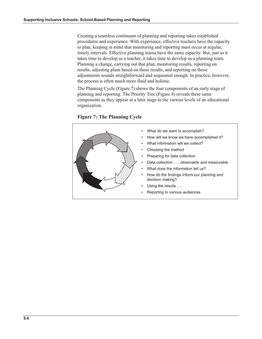Creating a seamless continuum of planning and reporting takes established procedures and experience. With experience, effective teachers have the capacity to plan, keeping in mind that monitoring and reporting must occur at regular, timely intervals. Effective planning teams have the same capacity. But, just as it takes time to develop as a teacher, it takes time to develop as a planning team. Planning a change, carrying out that plan, monitoring results, reporting on results, adjusting plans based on those results, and reporting on those adjustments sounds straightforward and sequential enough. In practice, however, the process is often much more fluid and holistic.

The Planning Cycle (Figure 7) shows the four components of an early stage of planning and reporting. The Priority Tree (Figure 8) reveals these same components as they appear at a later stage in the various levels of an educational organization.

**Figure 7: The Planning Cycle** 

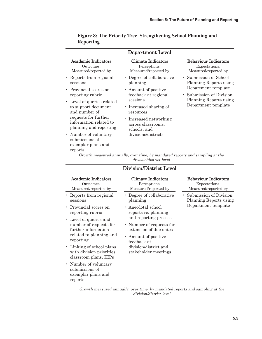| Department Level                                                                                                                               |                                                                                                                 |                                                                                                     |  |  |
|------------------------------------------------------------------------------------------------------------------------------------------------|-----------------------------------------------------------------------------------------------------------------|-----------------------------------------------------------------------------------------------------|--|--|
| Academic Indicators<br>Outcomes.<br>Measured/reported by                                                                                       | Climate Indicators<br>Perceptions.<br>Measured/reported by                                                      | <b>Behaviour Indicators</b><br>Expectations.<br>Measured/reported by                                |  |  |
| • Reports from regional<br>sessions<br>• Provincial scores on<br>reporting rubric                                                              | Degree of collaborative<br>planning<br>• Amount of positive<br>feedback at regional                             | • Submission of School<br>Planning Reports using<br>Department template<br>• Submission of Division |  |  |
| • Level of queries related<br>to support document<br>and number of<br>requests for further<br>information related to<br>planning and reporting | sessions<br>• Increased sharing of<br>resources<br>• Increased networking<br>across classrooms,<br>schools, and | Planning Reports using<br>Department template                                                       |  |  |
| • Number of voluntary<br>submissions of<br>exemplar plans and<br>reports                                                                       | divisions/districts                                                                                             |                                                                                                     |  |  |

#### Figure 8: The Priority Tree-Strengthening School Planning and **Reporting**

Growth measured annually, over time, by mandated reports and sampling at the  $division/district\ level$ 

| Division/District Level                                                                                         |                                                                                                                    |                                                                           |  |
|-----------------------------------------------------------------------------------------------------------------|--------------------------------------------------------------------------------------------------------------------|---------------------------------------------------------------------------|--|
| Academic Indicators<br>Outcomes.<br>Measured/reported by                                                        | Climate Indicators<br>Perceptions.<br>Measured/reported by                                                         | <b>Behaviour Indicators</b><br>Expectations.<br>Measured/reported by      |  |
| • Reports from regional<br>sessions                                                                             | • Degree of collaborative<br>planning                                                                              | • Submission of Division<br>Planning Reports using<br>Department template |  |
| • Provincial scores on<br>reporting rubric                                                                      | • Anecdotal school<br>reports re: planning                                                                         |                                                                           |  |
| • Level of queries and<br>number of requests for<br>further information<br>related to planning and<br>reporting | and reporting process<br>• Number of requests for<br>extension of due dates<br>• Amount of positive<br>feedback at |                                                                           |  |
| • Linking of school plans<br>with division priorities,<br>classroom plans, IEPs                                 | division/district and<br>stakeholder meetings                                                                      |                                                                           |  |
| • Number of voluntary<br>submissions of<br>exemplar plans and<br>reports                                        |                                                                                                                    |                                                                           |  |

Growth measured annually, over time, by mandated reports and sampling at the division/district level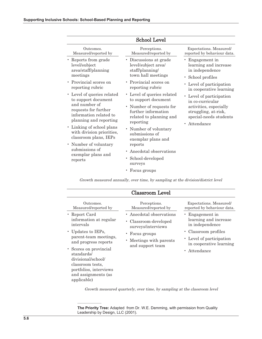| <b>School Level</b>                                                                                                                                                                                                               |                                                                                                                                                                                                               |                                                                                                                                          |  |
|-----------------------------------------------------------------------------------------------------------------------------------------------------------------------------------------------------------------------------------|---------------------------------------------------------------------------------------------------------------------------------------------------------------------------------------------------------------|------------------------------------------------------------------------------------------------------------------------------------------|--|
| Outcomes.                                                                                                                                                                                                                         | Perceptions.                                                                                                                                                                                                  | Expectations. Measured/                                                                                                                  |  |
| Measured/reported by                                                                                                                                                                                                              | Measured/reported by                                                                                                                                                                                          | reported by behaviour data.                                                                                                              |  |
| • Reports from grade                                                                                                                                                                                                              | • Discussions at grade                                                                                                                                                                                        | • Engagement in                                                                                                                          |  |
| level/subject                                                                                                                                                                                                                     | level/subject area/                                                                                                                                                                                           | learning and increase                                                                                                                    |  |
| area/staff/planning                                                                                                                                                                                                               | staff/planning/                                                                                                                                                                                               | in independence                                                                                                                          |  |
| meetings                                                                                                                                                                                                                          | town hall meetings                                                                                                                                                                                            | • School profiles                                                                                                                        |  |
| • Provincial scores on                                                                                                                                                                                                            | • Provincial scores on                                                                                                                                                                                        | • Level of participation                                                                                                                 |  |
| reporting rubric                                                                                                                                                                                                                  | reporting rubric                                                                                                                                                                                              | in cooperative learning                                                                                                                  |  |
| • Level of queries related<br>to support document<br>and number of<br>requests for further<br>information related to<br>planning and reporting<br>• Linking of school plans<br>with division priorities,<br>classroom plans, IEPs | • Level of queries related<br>to support document<br>• Number of requests for<br>further information<br>related to planning and<br>reporting<br>• Number of voluntary<br>submissions of<br>exemplar plans and | • Level of participation<br>in co-curricular<br>activities, especially<br>struggling, at-risk,<br>special-needs students<br>• Attendance |  |
| • Number of voluntary<br>submissions of<br>exemplar plans and<br>reports                                                                                                                                                          | reports<br>• Anecdotal observations<br>School-developed<br>surveys<br>• Focus groups                                                                                                                          |                                                                                                                                          |  |

Growth measured annually, over time, by sampling at the division/district level

| Classroom Level                                                                                                                                                                                                       |                                                               |                                                                                                        |  |
|-----------------------------------------------------------------------------------------------------------------------------------------------------------------------------------------------------------------------|---------------------------------------------------------------|--------------------------------------------------------------------------------------------------------|--|
| Outcomes.                                                                                                                                                                                                             | Perceptions.                                                  | Expectations. Measured/                                                                                |  |
| Measured/reported by                                                                                                                                                                                                  | Measured/reported by                                          | reported by behaviour data.                                                                            |  |
| • Report Card                                                                                                                                                                                                         | • Anecdotal observations                                      | • Engagement in                                                                                        |  |
| information at regular                                                                                                                                                                                                | • Classroom-developed                                         | learning and increase                                                                                  |  |
| intervals                                                                                                                                                                                                             | surveys/interviews                                            | in independence                                                                                        |  |
| • Updates to IEPs,<br>parent-team meetings,<br>and progress reports<br>• Scores on provincial<br>standards/<br>divisional/school/<br>classroom tests,<br>portfolios, interviews<br>and assignments (as<br>applicable) | • Focus groups<br>• Meetings with parents<br>and support team | • Classroom profiles<br>• Level of participation<br>in cooperative learning<br>Attendance<br>$\bullet$ |  |

Growth measured quarterly, over time, by sampling at the classroom level

The Priority Tree: Adapted from Dr. W.E. Demming, with permission from Quality Leadership by Design, LLC (2001).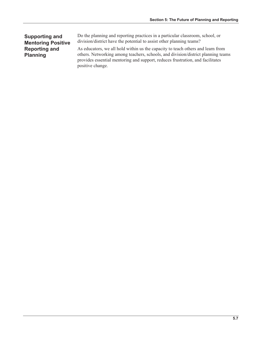#### **Supporting and Mentoring Positive Reporting and Planning**

Do the planning and reporting practices in a particular classroom, school, or division/district have the potential to assist other planning teams?

As educators, we all hold within us the capacity to teach others and learn from others. Networking among teachers, schools, and division/district planning teams provides essential mentoring and support, reduces frustration, and facilitates positive change.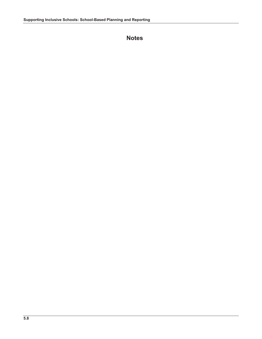### **Notes**